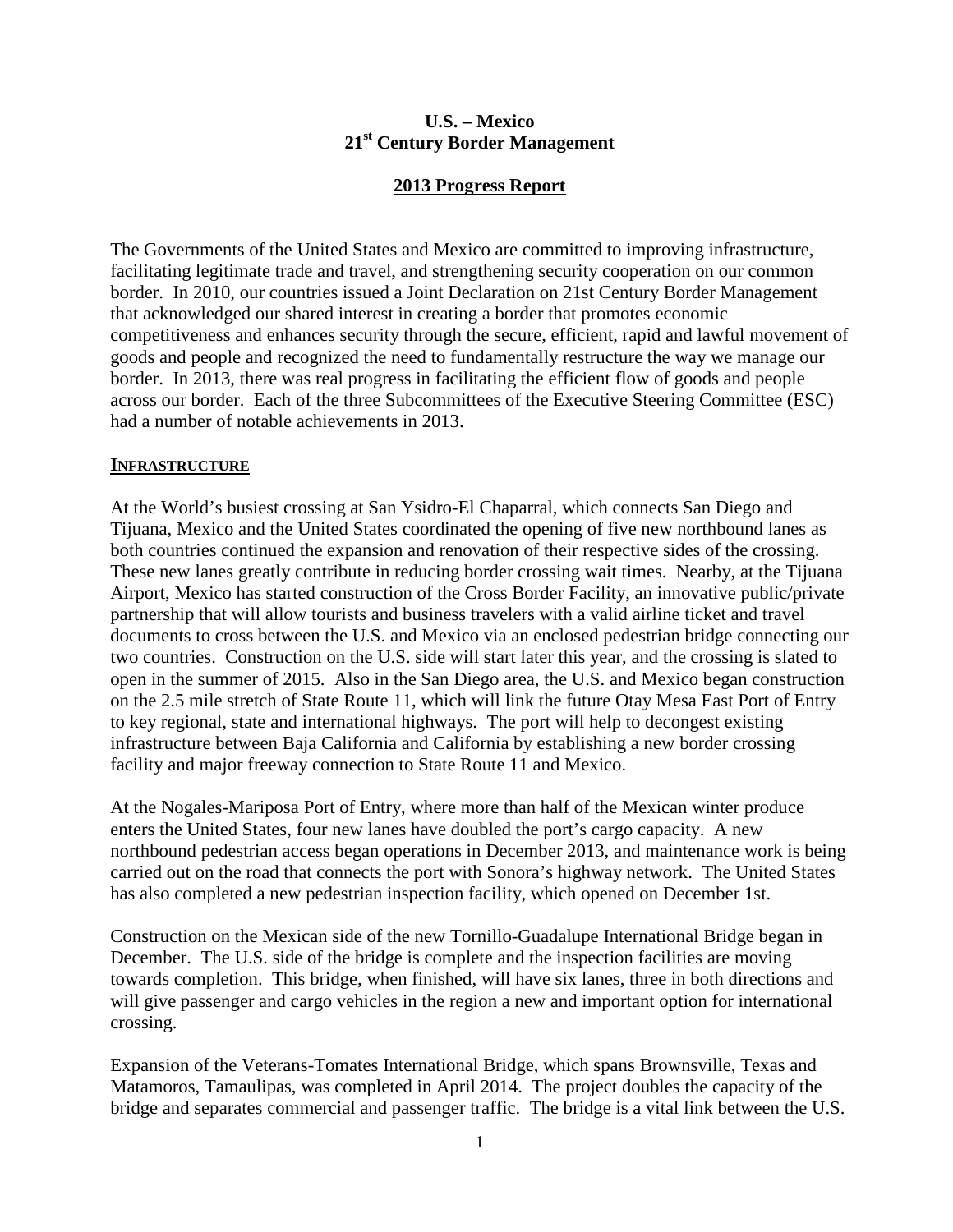## **U.S. – Mexico 21st Century Border Management**

# **2013 Progress Report**

The Governments of the United States and Mexico are committed to improving infrastructure, facilitating legitimate trade and travel, and strengthening security cooperation on our common border. In 2010, our countries issued a Joint Declaration on 21st Century Border Management that acknowledged our shared interest in creating a border that promotes economic competitiveness and enhances security through the secure, efficient, rapid and lawful movement of goods and people and recognized the need to fundamentally restructure the way we manage our border. In 2013, there was real progress in facilitating the efficient flow of goods and people across our border. Each of the three Subcommittees of the Executive Steering Committee (ESC) had a number of notable achievements in 2013.

### **INFRASTRUCTURE**

At the World's busiest crossing at San Ysidro-El Chaparral, which connects San Diego and Tijuana, Mexico and the United States coordinated the opening of five new northbound lanes as both countries continued the expansion and renovation of their respective sides of the crossing. These new lanes greatly contribute in reducing border crossing wait times. Nearby, at the Tijuana Airport, Mexico has started construction of the Cross Border Facility, an innovative public/private partnership that will allow tourists and business travelers with a valid airline ticket and travel documents to cross between the U.S. and Mexico via an enclosed pedestrian bridge connecting our two countries. Construction on the U.S. side will start later this year, and the crossing is slated to open in the summer of 2015. Also in the San Diego area, the U.S. and Mexico began construction on the 2.5 mile stretch of State Route 11, which will link the future Otay Mesa East Port of Entry to key regional, state and international highways. The port will help to decongest existing infrastructure between Baja California and California by establishing a new border crossing facility and major freeway connection to State Route 11 and Mexico.

At the Nogales-Mariposa Port of Entry, where more than half of the Mexican winter produce enters the United States, four new lanes have doubled the port's cargo capacity. A new northbound pedestrian access began operations in December 2013, and maintenance work is being carried out on the road that connects the port with Sonora's highway network. The United States has also completed a new pedestrian inspection facility, which opened on December 1st.

Construction on the Mexican side of the new Tornillo-Guadalupe International Bridge began in December. The U.S. side of the bridge is complete and the inspection facilities are moving towards completion. This bridge, when finished, will have six lanes, three in both directions and will give passenger and cargo vehicles in the region a new and important option for international crossing.

Expansion of the Veterans-Tomates International Bridge, which spans Brownsville, Texas and Matamoros, Tamaulipas, was completed in April 2014. The project doubles the capacity of the bridge and separates commercial and passenger traffic. The bridge is a vital link between the U.S.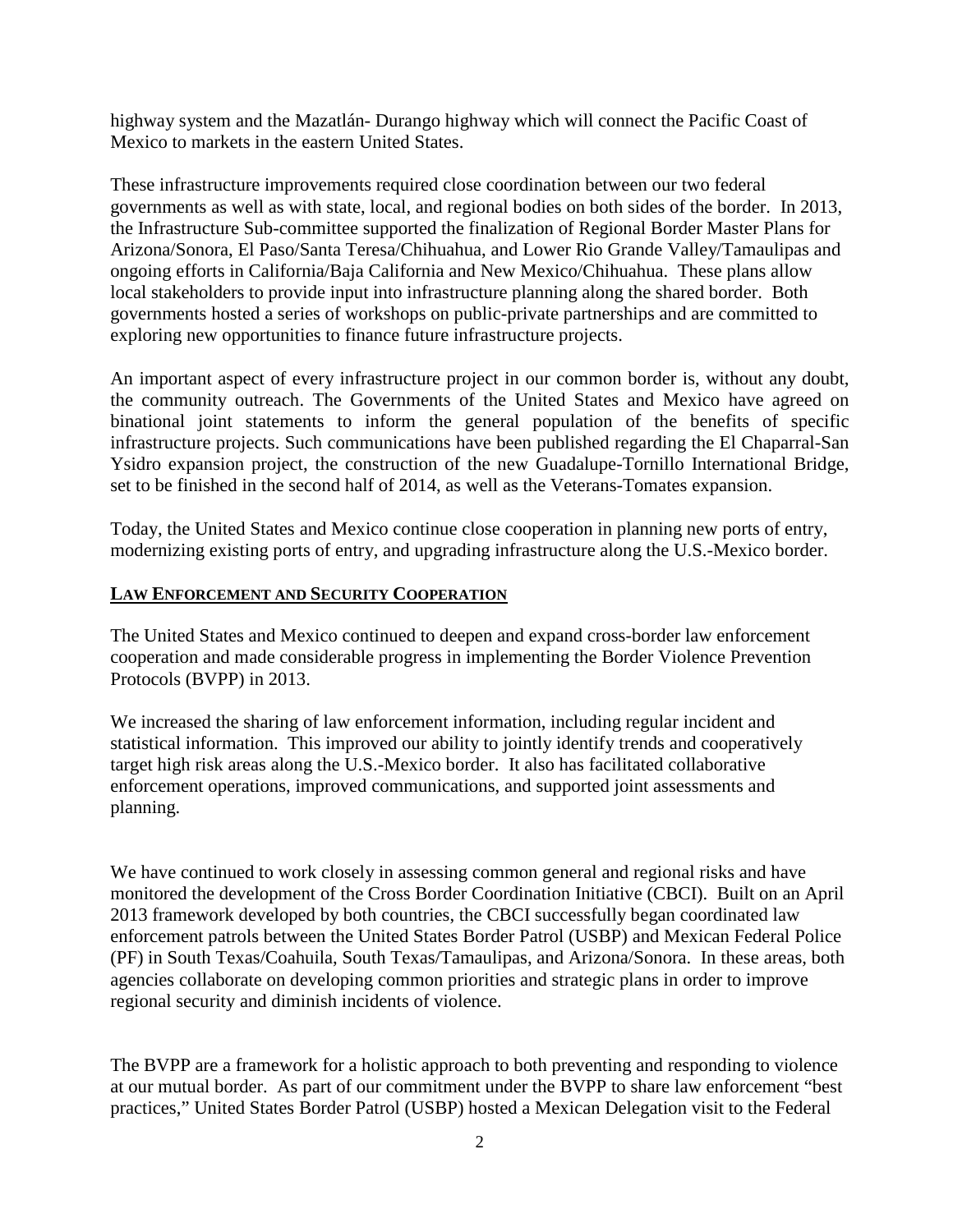highway system and the Mazatlán- Durango highway which will connect the Pacific Coast of Mexico to markets in the eastern United States.

These infrastructure improvements required close coordination between our two federal governments as well as with state, local, and regional bodies on both sides of the border. In 2013, the Infrastructure Sub-committee supported the finalization of Regional Border Master Plans for Arizona/Sonora, El Paso/Santa Teresa/Chihuahua, and Lower Rio Grande Valley/Tamaulipas and ongoing efforts in California/Baja California and New Mexico/Chihuahua. These plans allow local stakeholders to provide input into infrastructure planning along the shared border. Both governments hosted a series of workshops on public-private partnerships and are committed to exploring new opportunities to finance future infrastructure projects.

An important aspect of every infrastructure project in our common border is, without any doubt, the community outreach. The Governments of the United States and Mexico have agreed on binational joint statements to inform the general population of the benefits of specific infrastructure projects. Such communications have been published regarding the El Chaparral-San Ysidro expansion project, the construction of the new Guadalupe-Tornillo International Bridge, set to be finished in the second half of 2014, as well as the Veterans-Tomates expansion.

Today, the United States and Mexico continue close cooperation in planning new ports of entry, modernizing existing ports of entry, and upgrading infrastructure along the U.S.-Mexico border.

### **LAW ENFORCEMENT AND SECURITY COOPERATION**

The United States and Mexico continued to deepen and expand cross-border law enforcement cooperation and made considerable progress in implementing the Border Violence Prevention Protocols (BVPP) in 2013.

We increased the sharing of law enforcement information, including regular incident and statistical information. This improved our ability to jointly identify trends and cooperatively target high risk areas along the U.S.-Mexico border. It also has facilitated collaborative enforcement operations, improved communications, and supported joint assessments and planning.

We have continued to work closely in assessing common general and regional risks and have monitored the development of the Cross Border Coordination Initiative (CBCI). Built on an April 2013 framework developed by both countries, the CBCI successfully began coordinated law enforcement patrols between the United States Border Patrol (USBP) and Mexican Federal Police (PF) in South Texas/Coahuila, South Texas/Tamaulipas, and Arizona/Sonora. In these areas, both agencies collaborate on developing common priorities and strategic plans in order to improve regional security and diminish incidents of violence.

The BVPP are a framework for a holistic approach to both preventing and responding to violence at our mutual border. As part of our commitment under the BVPP to share law enforcement "best practices," United States Border Patrol (USBP) hosted a Mexican Delegation visit to the Federal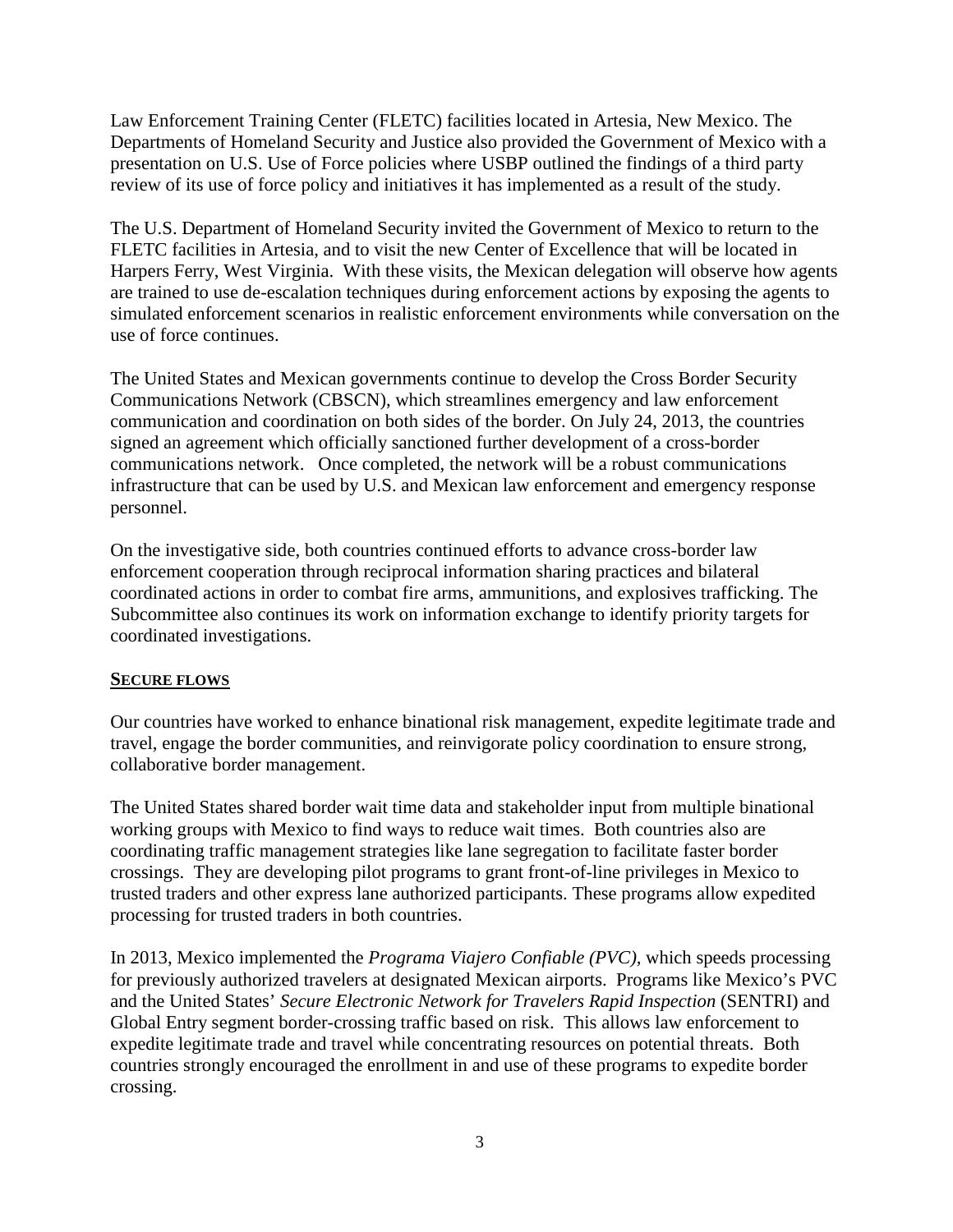Law Enforcement Training Center (FLETC) facilities located in Artesia, New Mexico. The Departments of Homeland Security and Justice also provided the Government of Mexico with a presentation on U.S. Use of Force policies where USBP outlined the findings of a third party review of its use of force policy and initiatives it has implemented as a result of the study.

The U.S. Department of Homeland Security invited the Government of Mexico to return to the FLETC facilities in Artesia, and to visit the new Center of Excellence that will be located in Harpers Ferry, West Virginia. With these visits, the Mexican delegation will observe how agents are trained to use de-escalation techniques during enforcement actions by exposing the agents to simulated enforcement scenarios in realistic enforcement environments while conversation on the use of force continues.

The United States and Mexican governments continue to develop the Cross Border Security Communications Network (CBSCN), which streamlines emergency and law enforcement communication and coordination on both sides of the border. On July 24, 2013, the countries signed an agreement which officially sanctioned further development of a cross-border communications network. Once completed, the network will be a robust communications infrastructure that can be used by U.S. and Mexican law enforcement and emergency response personnel.

On the investigative side, both countries continued efforts to advance cross-border law enforcement cooperation through reciprocal information sharing practices and bilateral coordinated actions in order to combat fire arms, ammunitions, and explosives trafficking. The Subcommittee also continues its work on information exchange to identify priority targets for coordinated investigations.

### **SECURE FLOWS**

Our countries have worked to enhance binational risk management, expedite legitimate trade and travel, engage the border communities, and reinvigorate policy coordination to ensure strong, collaborative border management.

The United States shared border wait time data and stakeholder input from multiple binational working groups with Mexico to find ways to reduce wait times. Both countries also are coordinating traffic management strategies like lane segregation to facilitate faster border crossings. They are developing pilot programs to grant front-of-line privileges in Mexico to trusted traders and other express lane authorized participants. These programs allow expedited processing for trusted traders in both countries.

In 2013, Mexico implemented the *Programa Viajero Confiable (PVC),* which speeds processing for previously authorized travelers at designated Mexican airports. Programs like Mexico's PVC and the United States' *Secure Electronic Network for Travelers Rapid Inspection* (SENTRI) and Global Entry segment border-crossing traffic based on risk. This allows law enforcement to expedite legitimate trade and travel while concentrating resources on potential threats. Both countries strongly encouraged the enrollment in and use of these programs to expedite border crossing.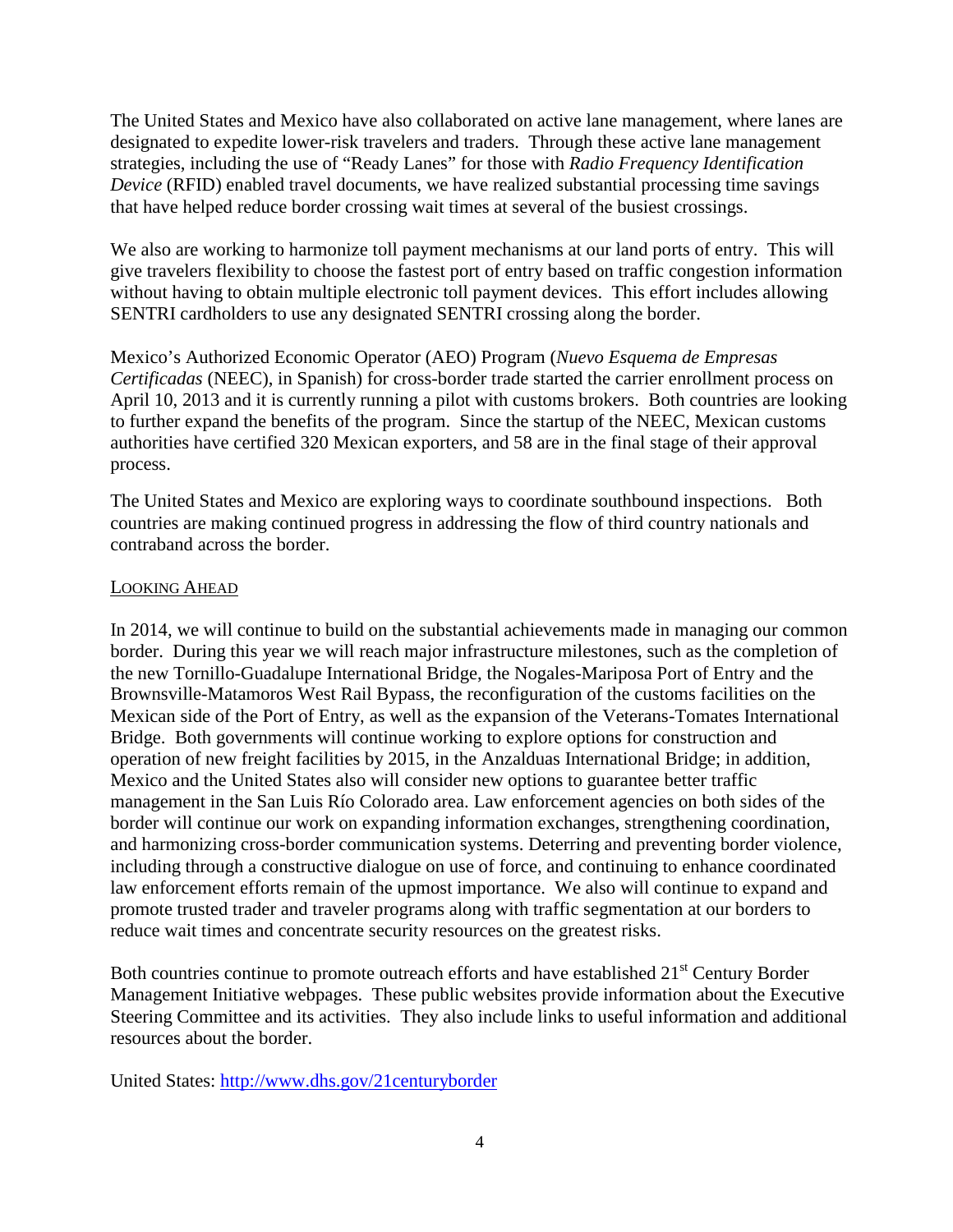The United States and Mexico have also collaborated on active lane management, where lanes are designated to expedite lower-risk travelers and traders. Through these active lane management strategies, including the use of "Ready Lanes" for those with *Radio Frequency Identification Device* (RFID) enabled travel documents, we have realized substantial processing time savings that have helped reduce border crossing wait times at several of the busiest crossings.

We also are working to harmonize toll payment mechanisms at our land ports of entry. This will give travelers flexibility to choose the fastest port of entry based on traffic congestion information without having to obtain multiple electronic toll payment devices. This effort includes allowing SENTRI cardholders to use any designated SENTRI crossing along the border.

Mexico's Authorized Economic Operator (AEO) Program (*Nuevo Esquema de Empresas Certificadas* (NEEC), in Spanish) for cross-border trade started the carrier enrollment process on April 10, 2013 and it is currently running a pilot with customs brokers. Both countries are looking to further expand the benefits of the program. Since the startup of the NEEC, Mexican customs authorities have certified 320 Mexican exporters, and 58 are in the final stage of their approval process.

The United States and Mexico are exploring ways to coordinate southbound inspections. Both countries are making continued progress in addressing the flow of third country nationals and contraband across the border.

### LOOKING AHEAD

In 2014, we will continue to build on the substantial achievements made in managing our common border. During this year we will reach major infrastructure milestones, such as the completion of the new Tornillo-Guadalupe International Bridge, the Nogales-Mariposa Port of Entry and the Brownsville-Matamoros West Rail Bypass, the reconfiguration of the customs facilities on the Mexican side of the Port of Entry, as well as the expansion of the Veterans-Tomates International Bridge. Both governments will continue working to explore options for construction and operation of new freight facilities by 2015, in the Anzalduas International Bridge; in addition, Mexico and the United States also will consider new options to guarantee better traffic management in the San Luis Río Colorado area. Law enforcement agencies on both sides of the border will continue our work on expanding information exchanges, strengthening coordination, and harmonizing cross-border communication systems. Deterring and preventing border violence, including through a constructive dialogue on use of force, and continuing to enhance coordinated law enforcement efforts remain of the upmost importance. We also will continue to expand and promote trusted trader and traveler programs along with traffic segmentation at our borders to reduce wait times and concentrate security resources on the greatest risks.

Both countries continue to promote outreach efforts and have established 21<sup>st</sup> Century Border Management Initiative webpages. These public websites provide information about the Executive Steering Committee and its activities. They also include links to useful information and additional resources about the border.

United States:<http://www.dhs.gov/21centuryborder>